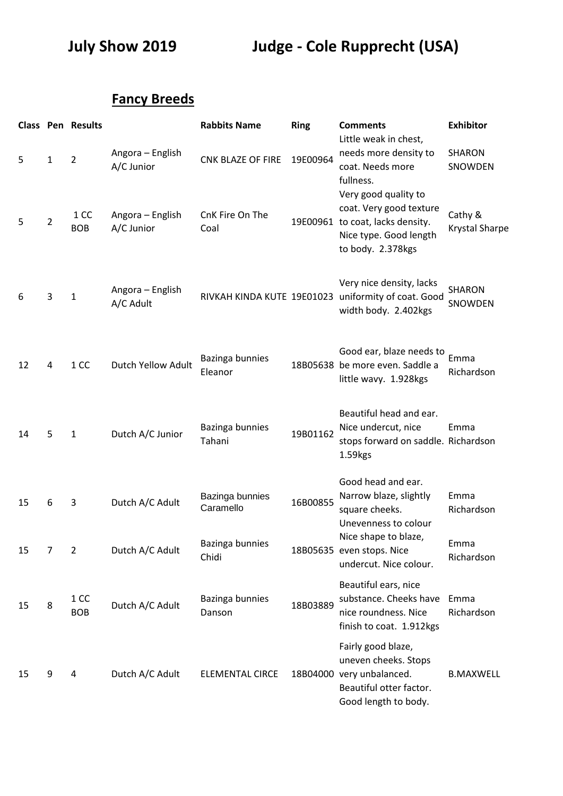**July Show 2019 Judge - Cole Rupprecht (USA)**

## **Fancy Breeds**

|    |                | <b>Class Pen Results</b> |                                | <b>Rabbits Name</b>          | <b>Ring</b> | <b>Comments</b><br>Little weak in chest,                                                                                           | <b>Exhibitor</b>                 |
|----|----------------|--------------------------|--------------------------------|------------------------------|-------------|------------------------------------------------------------------------------------------------------------------------------------|----------------------------------|
| 5  | $\mathbf{1}$   | $\overline{2}$           | Angora - English<br>A/C Junior | <b>CNK BLAZE OF FIRE</b>     | 19E00964    | needs more density to<br>coat. Needs more<br>fullness.                                                                             | <b>SHARON</b><br>SNOWDEN         |
| 5  | $\overline{2}$ | 1 CC<br><b>BOB</b>       | Angora - English<br>A/C Junior | CnK Fire On The<br>Coal      |             | Very good quality to<br>coat. Very good texture<br>19E00961 to coat, lacks density.<br>Nice type. Good length<br>to body. 2.378kgs | Cathy &<br><b>Krystal Sharpe</b> |
| 6  | 3              | $\mathbf{1}$             | Angora - English<br>A/C Adult  |                              |             | Very nice density, lacks<br>RIVKAH KINDA KUTE 19E01023 uniformity of coat. Good<br>width body. 2.402kgs                            | <b>SHARON</b><br>SNOWDEN         |
| 12 | 4              | 1 CC                     | Dutch Yellow Adult             | Bazinga bunnies<br>Eleanor   |             | Good ear, blaze needs to<br>18B05638 be more even. Saddle a<br>little wavy. 1.928kgs                                               | Emma<br>Richardson               |
| 14 | 5              | $\mathbf{1}$             | Dutch A/C Junior               | Bazinga bunnies<br>Tahani    | 19B01162    | Beautiful head and ear.<br>Nice undercut, nice<br>stops forward on saddle. Richardson<br>1.59kgs                                   | Emma                             |
| 15 | 6              | 3                        | Dutch A/C Adult                | Bazinga bunnies<br>Caramello | 16B00855    | Good head and ear.<br>Narrow blaze, slightly<br>square cheeks.<br>Unevenness to colour                                             | Emma<br>Richardson               |
| 15 | 7              | $\overline{2}$           | Dutch A/C Adult                | Bazinga bunnies<br>Chidi     |             | Nice shape to blaze,<br>18B05635 even stops. Nice<br>undercut. Nice colour.                                                        | Emma<br>Richardson               |
| 15 | 8              | 1 CC<br><b>BOB</b>       | Dutch A/C Adult                | Bazinga bunnies<br>Danson    | 18B03889    | Beautiful ears, nice<br>substance. Cheeks have<br>nice roundness. Nice<br>finish to coat. 1.912kgs                                 | Emma<br>Richardson               |
| 15 | 9              | 4                        | Dutch A/C Adult                | <b>ELEMENTAL CIRCE</b>       |             | Fairly good blaze,<br>uneven cheeks. Stops<br>18B04000 very unbalanced.<br>Beautiful otter factor.<br>Good length to body.         | <b>B.MAXWELL</b>                 |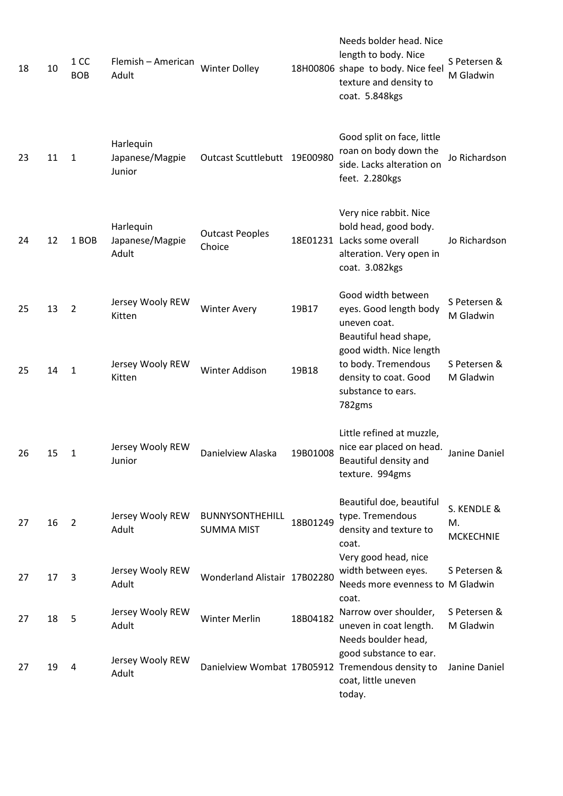| 18 | 10 | 1 CC<br><b>BOB</b> | Flemish - American<br>Adult            | <b>Winter Dolley</b>                        |          | Needs bolder head. Nice<br>length to body. Nice<br>18H00806 shape to body. Nice feel<br>texture and density to<br>coat. 5.848kgs | S Petersen &<br>M Gladwin             |
|----|----|--------------------|----------------------------------------|---------------------------------------------|----------|----------------------------------------------------------------------------------------------------------------------------------|---------------------------------------|
| 23 | 11 | $\mathbf{1}$       | Harlequin<br>Japanese/Magpie<br>Junior | Outcast Scuttlebutt 19E00980                |          | Good split on face, little<br>roan on body down the<br>side. Lacks alteration on<br>feet. 2.280kgs                               | Jo Richardson                         |
| 24 | 12 | 1 BOB              | Harlequin<br>Japanese/Magpie<br>Adult  | <b>Outcast Peoples</b><br>Choice            |          | Very nice rabbit. Nice<br>bold head, good body.<br>18E01231 Lacks some overall<br>alteration. Very open in<br>coat. 3.082kgs     | Jo Richardson                         |
| 25 | 13 | $\overline{2}$     | Jersey Wooly REW<br>Kitten             | <b>Winter Avery</b>                         | 19B17    | Good width between<br>eyes. Good length body<br>uneven coat.<br>Beautiful head shape,                                            | S Petersen &<br>M Gladwin             |
| 25 | 14 | 1                  | Jersey Wooly REW<br>Kitten             | Winter Addison                              | 19B18    | good width. Nice length<br>to body. Tremendous<br>density to coat. Good<br>substance to ears.<br>782gms                          | S Petersen &<br>M Gladwin             |
| 26 | 15 | 1                  | Jersey Wooly REW<br>Junior             | Danielview Alaska                           | 19B01008 | Little refined at muzzle,<br>nice ear placed on head.<br>Beautiful density and<br>texture. 994gms                                | Janine Daniel                         |
| 27 | 16 | 2                  | Jersey Wooly REW<br>Adult              | <b>BUNNYSONTHEHILL</b><br><b>SUMMA MIST</b> | 18B01249 | Beautiful doe, beautiful<br>type. Tremendous<br>density and texture to<br>coat.<br>Very good head, nice                          | S. KENDLE &<br>M.<br><b>MCKECHNIE</b> |
| 27 | 17 | 3                  | Jersey Wooly REW<br>Adult              | Wonderland Alistair 17B02280                |          | width between eyes.<br>Needs more evenness to M Gladwin                                                                          | S Petersen &                          |
| 27 | 18 | 5                  | Jersey Wooly REW<br>Adult              | <b>Winter Merlin</b>                        | 18B04182 | coat.<br>Narrow over shoulder,<br>uneven in coat length.<br>Needs boulder head,                                                  | S Petersen &<br>M Gladwin             |
| 27 | 19 | 4                  | Jersey Wooly REW<br>Adult              |                                             |          | good substance to ear.<br>Danielview Wombat 17B05912 Tremendous density to<br>coat, little uneven<br>today.                      | Janine Daniel                         |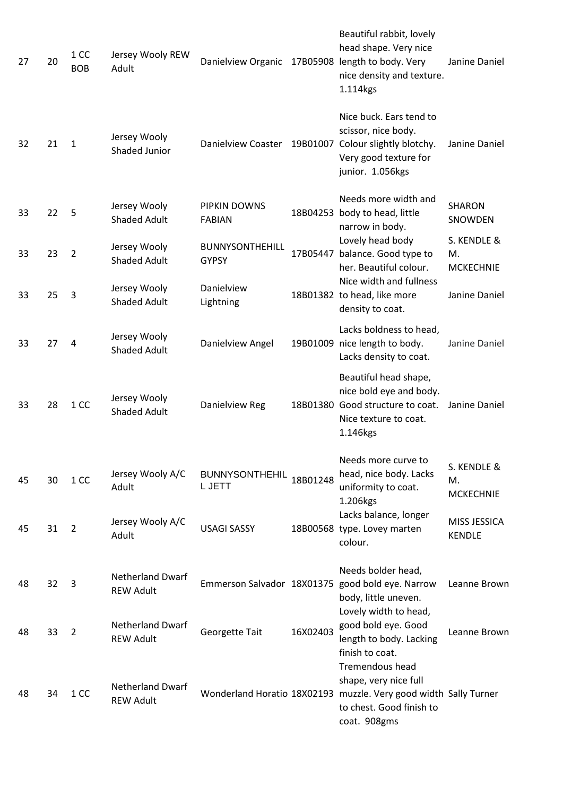| 27 | 20 | 1 CC<br><b>BOB</b> | Jersey Wooly REW<br>Adult                   | Danielview Organic                     |          | Beautiful rabbit, lovely<br>head shape. Very nice<br>17B05908 length to body. Very<br>nice density and texture.<br>1.114kgs                                     | Janine Daniel                         |
|----|----|--------------------|---------------------------------------------|----------------------------------------|----------|-----------------------------------------------------------------------------------------------------------------------------------------------------------------|---------------------------------------|
| 32 | 21 | $\mathbf{1}$       | Jersey Wooly<br><b>Shaded Junior</b>        |                                        |          | Nice buck. Ears tend to<br>scissor, nice body.<br>Danielview Coaster 19B01007 Colour slightly blotchy.<br>Very good texture for<br>junior. 1.056kgs             | Janine Daniel                         |
| 33 | 22 | 5                  | Jersey Wooly<br><b>Shaded Adult</b>         | PIPKIN DOWNS<br><b>FABIAN</b>          |          | Needs more width and<br>18B04253 body to head, little<br>narrow in body.                                                                                        | <b>SHARON</b><br>SNOWDEN              |
| 33 | 23 | $\overline{2}$     | Jersey Wooly<br><b>Shaded Adult</b>         | <b>BUNNYSONTHEHILL</b><br><b>GYPSY</b> |          | Lovely head body<br>17B05447 balance. Good type to<br>her. Beautiful colour.                                                                                    | S. KENDLE &<br>Μ.<br><b>MCKECHNIE</b> |
| 33 | 25 | 3                  | Jersey Wooly<br><b>Shaded Adult</b>         | Danielview<br>Lightning                |          | Nice width and fullness<br>18B01382 to head, like more<br>density to coat.                                                                                      | Janine Daniel                         |
| 33 | 27 | 4                  | Jersey Wooly<br><b>Shaded Adult</b>         | Danielview Angel                       |          | Lacks boldness to head,<br>19B01009 nice length to body.<br>Lacks density to coat.                                                                              | Janine Daniel                         |
| 33 | 28 | 1 CC               | Jersey Wooly<br><b>Shaded Adult</b>         | Danielview Reg                         |          | Beautiful head shape,<br>nice bold eye and body.<br>18B01380 Good structure to coat.<br>Nice texture to coat.<br>1.146kgs                                       | Janine Daniel                         |
| 45 | 30 | 1 CC               | Jersey Wooly A/C<br>Adult                   | <b>BUNNYSONTHEHIL</b><br>L JETT        | 18B01248 | Needs more curve to<br>head, nice body. Lacks<br>uniformity to coat.<br>1.206kgs                                                                                | S. KENDLE &<br>М.<br><b>MCKECHNIE</b> |
| 45 | 31 | $\overline{2}$     | Jersey Wooly A/C<br>Adult                   | <b>USAGI SASSY</b>                     |          | Lacks balance, longer<br>18B00568 type. Lovey marten<br>colour.                                                                                                 | MISS JESSICA<br><b>KENDLE</b>         |
| 48 | 32 | 3                  | <b>Netherland Dwarf</b><br><b>REW Adult</b> |                                        |          | Needs bolder head,<br>Emmerson Salvador 18X01375 good bold eye. Narrow<br>body, little uneven.                                                                  | Leanne Brown                          |
| 48 | 33 | $\overline{2}$     | <b>Netherland Dwarf</b><br><b>REW Adult</b> | Georgette Tait                         | 16X02403 | Lovely width to head,<br>good bold eye. Good<br>length to body. Lacking<br>finish to coat.                                                                      | Leanne Brown                          |
| 48 | 34 | 1 CC               | <b>Netherland Dwarf</b><br><b>REW Adult</b> |                                        |          | <b>Tremendous head</b><br>shape, very nice full<br>Wonderland Horatio 18X02193 muzzle. Very good width Sally Turner<br>to chest. Good finish to<br>coat. 908gms |                                       |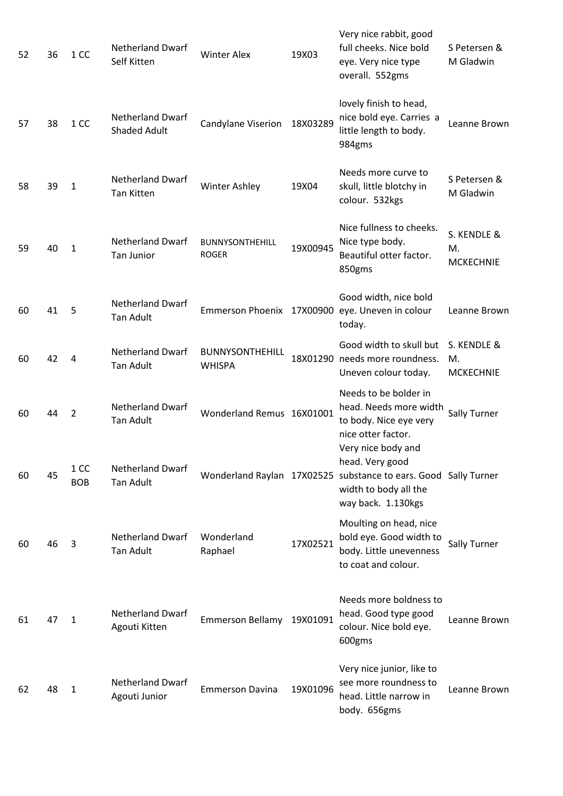| 52 | 36 | 1 CC               | <b>Netherland Dwarf</b><br>Self Kitten         | <b>Winter Alex</b>                      | 19X03    | Very nice rabbit, good<br>full cheeks. Nice bold<br>eye. Very nice type<br>overall. 552gms                                                              | S Petersen &<br>M Gladwin             |
|----|----|--------------------|------------------------------------------------|-----------------------------------------|----------|---------------------------------------------------------------------------------------------------------------------------------------------------------|---------------------------------------|
| 57 | 38 | 1 CC               | <b>Netherland Dwarf</b><br><b>Shaded Adult</b> | Candylane Viserion                      | 18X03289 | lovely finish to head,<br>nice bold eye. Carries a<br>little length to body.<br>984gms                                                                  | Leanne Brown                          |
| 58 | 39 | 1                  | <b>Netherland Dwarf</b><br><b>Tan Kitten</b>   | <b>Winter Ashley</b>                    | 19X04    | Needs more curve to<br>skull, little blotchy in<br>colour. 532kgs                                                                                       | S Petersen &<br>M Gladwin             |
| 59 | 40 | 1                  | <b>Netherland Dwarf</b><br><b>Tan Junior</b>   | <b>BUNNYSONTHEHILL</b><br><b>ROGER</b>  | 19X00945 | Nice fullness to cheeks.<br>Nice type body.<br>Beautiful otter factor.<br>850gms                                                                        | S. KENDLE &<br>M.<br><b>MCKECHNIE</b> |
| 60 | 41 | 5                  | <b>Netherland Dwarf</b><br><b>Tan Adult</b>    |                                         |          | Good width, nice bold<br>Emmerson Phoenix 17X00900 eye. Uneven in colour<br>today.                                                                      | Leanne Brown                          |
| 60 | 42 | $\overline{4}$     | <b>Netherland Dwarf</b><br><b>Tan Adult</b>    | <b>BUNNYSONTHEHILL</b><br><b>WHISPA</b> |          | Good width to skull but<br>18X01290 needs more roundness.<br>Uneven colour today.                                                                       | S. KENDLE &<br>M.<br><b>MCKECHNIE</b> |
| 60 | 44 | $\overline{2}$     | <b>Netherland Dwarf</b><br><b>Tan Adult</b>    | Wonderland Remus 16X01001               |          | Needs to be bolder in<br>head. Needs more width<br>to body. Nice eye very<br>nice otter factor.                                                         | Sally Turner                          |
| 60 | 45 | 1 CC<br><b>BOB</b> | <b>Netherland Dwarf</b><br>Tan Adult           |                                         |          | Very nice body and<br>head. Very good<br>Wonderland Raylan 17X02525 substance to ears. Good Sally Turner<br>width to body all the<br>way back. 1.130kgs |                                       |
| 60 | 46 | 3                  | <b>Netherland Dwarf</b><br><b>Tan Adult</b>    | Wonderland<br>Raphael                   | 17X02521 | Moulting on head, nice<br>bold eye. Good width to<br>body. Little unevenness<br>to coat and colour.                                                     | Sally Turner                          |
| 61 | 47 | $\mathbf{1}$       | <b>Netherland Dwarf</b><br>Agouti Kitten       | <b>Emmerson Bellamy</b>                 | 19X01091 | Needs more boldness to<br>head. Good type good<br>colour. Nice bold eye.<br>600gms                                                                      | Leanne Brown                          |
| 62 | 48 | 1                  | <b>Netherland Dwarf</b><br>Agouti Junior       | <b>Emmerson Davina</b>                  | 19X01096 | Very nice junior, like to<br>see more roundness to<br>head. Little narrow in<br>body. 656gms                                                            | Leanne Brown                          |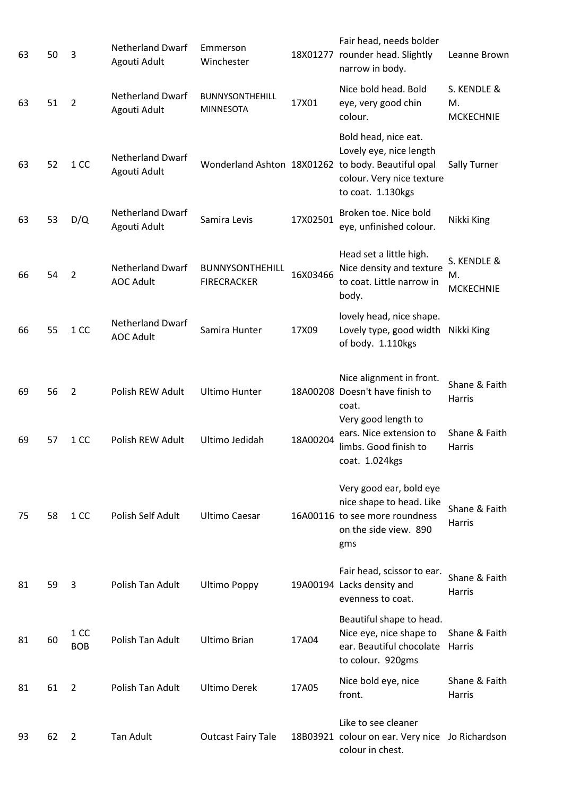| 63 | 50 | 3                  | <b>Netherland Dwarf</b><br>Agouti Adult     | Emmerson<br>Winchester                       |          | Fair head, needs bolder<br>18X01277 rounder head. Slightly<br>narrow in body.                                                                           | Leanne Brown                          |
|----|----|--------------------|---------------------------------------------|----------------------------------------------|----------|---------------------------------------------------------------------------------------------------------------------------------------------------------|---------------------------------------|
| 63 | 51 | $\overline{2}$     | <b>Netherland Dwarf</b><br>Agouti Adult     | <b>BUNNYSONTHEHILL</b><br><b>MINNESOTA</b>   | 17X01    | Nice bold head. Bold<br>eye, very good chin<br>colour.                                                                                                  | S. KENDLE &<br>M.<br><b>MCKECHNIE</b> |
| 63 | 52 | 1 CC               | <b>Netherland Dwarf</b><br>Agouti Adult     |                                              |          | Bold head, nice eat.<br>Lovely eye, nice length<br>Wonderland Ashton 18X01262 to body. Beautiful opal<br>colour. Very nice texture<br>to coat. 1.130kgs | <b>Sally Turner</b>                   |
| 63 | 53 | D/Q                | <b>Netherland Dwarf</b><br>Agouti Adult     | Samira Levis                                 | 17X02501 | Broken toe. Nice bold<br>eye, unfinished colour.                                                                                                        | Nikki King                            |
| 66 | 54 | $\overline{2}$     | <b>Netherland Dwarf</b><br><b>AOC Adult</b> | <b>BUNNYSONTHEHILL</b><br><b>FIRECRACKER</b> | 16X03466 | Head set a little high.<br>Nice density and texture<br>to coat. Little narrow in<br>body.                                                               | S. KENDLE &<br>М.<br><b>MCKECHNIE</b> |
| 66 | 55 | 1 CC               | <b>Netherland Dwarf</b><br><b>AOC Adult</b> | Samira Hunter                                | 17X09    | lovely head, nice shape.<br>Lovely type, good width<br>of body. 1.110kgs                                                                                | Nikki King                            |
| 69 | 56 | $\overline{2}$     | Polish REW Adult                            | <b>Ultimo Hunter</b>                         |          | Nice alignment in front.<br>18A00208 Doesn't have finish to<br>coat.<br>Very good length to                                                             | Shane & Faith<br>Harris               |
| 69 | 57 | 1 CC               | Polish REW Adult                            | Ultimo Jedidah                               | 18A00204 | ears. Nice extension to<br>limbs. Good finish to<br>coat. 1.024kgs                                                                                      | Shane & Faith<br>Harris               |
| 75 | 58 | 1 CC               | Polish Self Adult                           | <b>Ultimo Caesar</b>                         |          | Very good ear, bold eye<br>nice shape to head. Like<br>16A00116 to see more roundness<br>on the side view. 890<br>gms                                   | Shane & Faith<br>Harris               |
| 81 | 59 | 3                  | Polish Tan Adult                            | <b>Ultimo Poppy</b>                          |          | Fair head, scissor to ear.<br>19A00194 Lacks density and<br>evenness to coat.                                                                           | Shane & Faith<br>Harris               |
| 81 | 60 | 1 CC<br><b>BOB</b> | Polish Tan Adult                            | <b>Ultimo Brian</b>                          | 17A04    | Beautiful shape to head.<br>Nice eye, nice shape to<br>ear. Beautiful chocolate<br>to colour. 920gms                                                    | Shane & Faith<br>Harris               |
| 81 | 61 | $\overline{2}$     | Polish Tan Adult                            | <b>Ultimo Derek</b>                          | 17A05    | Nice bold eye, nice<br>front.                                                                                                                           | Shane & Faith<br>Harris               |
| 93 | 62 | $\overline{2}$     | <b>Tan Adult</b>                            | <b>Outcast Fairy Tale</b>                    |          | Like to see cleaner<br>18B03921 colour on ear. Very nice Jo Richardson<br>colour in chest.                                                              |                                       |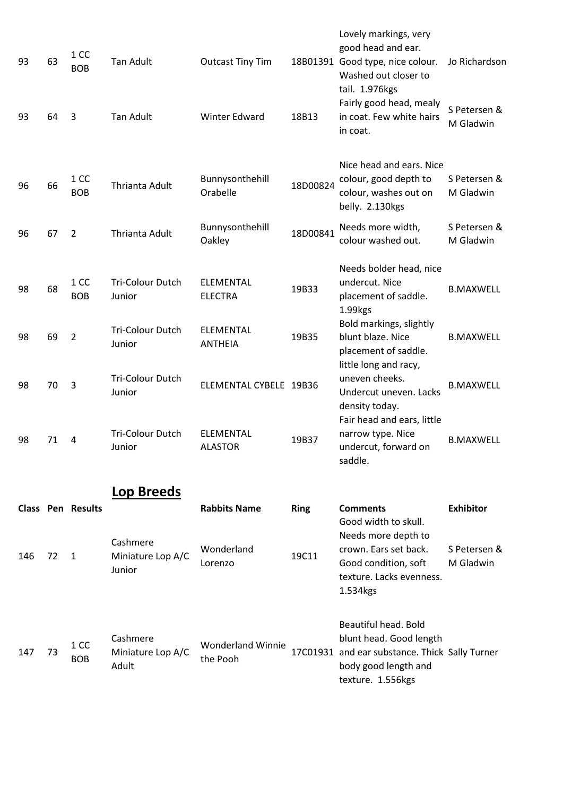| 147 | 73 | 1 CC<br><b>BOB</b>       | Cashmere<br>Miniature Lop A/C<br>Adult  | <b>Wonderland Winnie</b><br>the Pooh |             | Beautiful head. Bold<br>blunt head. Good length<br>17C01931 and ear substance. Thick Sally Turner<br>body good length and<br>texture. 1.556kgs |                           |
|-----|----|--------------------------|-----------------------------------------|--------------------------------------|-------------|------------------------------------------------------------------------------------------------------------------------------------------------|---------------------------|
| 146 | 72 | 1                        | Cashmere<br>Miniature Lop A/C<br>Junior | Wonderland<br>Lorenzo                | 19C11       | Good width to skull.<br>Needs more depth to<br>crown. Ears set back.<br>Good condition, soft<br>texture. Lacks evenness.<br>1.534kgs           | S Petersen &<br>M Gladwin |
|     |    | <b>Class Pen Results</b> | Lop Breeds                              | <b>Rabbits Name</b>                  | <b>Ring</b> | <b>Comments</b>                                                                                                                                | <b>Exhibitor</b>          |
| 98  | 71 | 4                        | <b>Tri-Colour Dutch</b><br>Junior       | ELEMENTAL<br><b>ALASTOR</b>          | 19B37       | Fair head and ears, little<br>narrow type. Nice<br>undercut, forward on<br>saddle.                                                             | <b>B.MAXWELL</b>          |
| 98  | 70 | 3                        | Tri-Colour Dutch<br>Junior              | ELEMENTAL CYBELE 19B36               |             | little long and racy,<br>uneven cheeks.<br>Undercut uneven. Lacks<br>density today.                                                            | <b>B.MAXWELL</b>          |
| 98  | 69 | $\overline{2}$           | Tri-Colour Dutch<br>Junior              | ELEMENTAL<br><b>ANTHEIA</b>          | 19B35       | Bold markings, slightly<br>blunt blaze. Nice<br>placement of saddle.                                                                           | <b>B.MAXWELL</b>          |
| 98  | 68 | 1 CC<br><b>BOB</b>       | Tri-Colour Dutch<br>Junior              | ELEMENTAL<br><b>ELECTRA</b>          | 19B33       | Needs bolder head, nice<br>undercut. Nice<br>placement of saddle.<br>1.99kgs                                                                   | <b>B.MAXWELL</b>          |
| 96  | 67 | $\overline{2}$           | Thrianta Adult                          | Bunnysonthehill<br>Oakley            | 18D00841    | Needs more width,<br>colour washed out.                                                                                                        | S Petersen &<br>M Gladwin |
| 96  | 66 | 1 CC<br><b>BOB</b>       | Thrianta Adult                          | Bunnysonthehill<br>Orabelle          | 18D00824    | Nice head and ears. Nice<br>colour, good depth to<br>colour, washes out on<br>belly. 2.130kgs                                                  | S Petersen &<br>M Gladwin |
| 93  | 64 | 3                        | <b>Tan Adult</b>                        | Winter Edward                        | 18B13       | Fairly good head, mealy<br>in coat. Few white hairs<br>in coat.                                                                                | S Petersen &<br>M Gladwin |
| 93  | 63 | 1 CC<br><b>BOB</b>       | <b>Tan Adult</b>                        | <b>Outcast Tiny Tim</b>              |             | Lovely markings, very<br>good head and ear.<br>18B01391 Good type, nice colour.<br>Washed out closer to<br>tail. 1.976kgs                      | Jo Richardson             |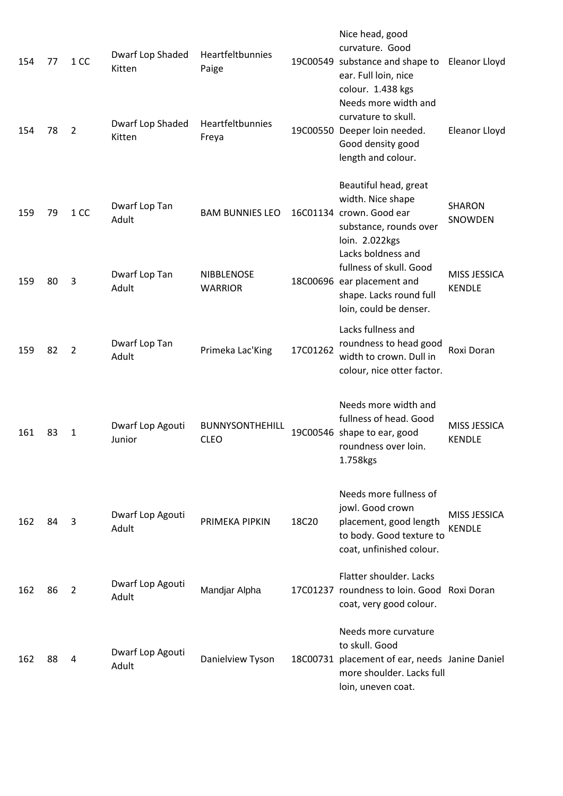| 154 | 77 | 1 CC           | Dwarf Lop Shaded<br>Kitten | Heartfeltbunnies<br>Paige           |          | Nice head, good<br>curvature. Good<br>19C00549 substance and shape to<br>ear. Full loin, nice<br>colour. 1.438 kgs                          | Eleanor Lloyd                 |
|-----|----|----------------|----------------------------|-------------------------------------|----------|---------------------------------------------------------------------------------------------------------------------------------------------|-------------------------------|
| 154 | 78 | $\overline{2}$ | Dwarf Lop Shaded<br>Kitten | Heartfeltbunnies<br>Freya           |          | Needs more width and<br>curvature to skull.<br>19C00550 Deeper loin needed.<br>Good density good<br>length and colour.                      | Eleanor Lloyd                 |
| 159 | 79 | 1 CC           | Dwarf Lop Tan<br>Adult     | <b>BAM BUNNIES LEO</b>              |          | Beautiful head, great<br>width. Nice shape<br>16C01134 crown. Good ear<br>substance, rounds over<br>loin. 2.022kgs                          | <b>SHARON</b><br>SNOWDEN      |
| 159 | 80 | 3              | Dwarf Lop Tan<br>Adult     | <b>NIBBLENOSE</b><br><b>WARRIOR</b> |          | Lacks boldness and<br>fullness of skull. Good<br>18C00696 ear placement and<br>shape. Lacks round full<br>loin, could be denser.            | MISS JESSICA<br><b>KENDLE</b> |
| 159 | 82 | 2              | Dwarf Lop Tan<br>Adult     | Primeka Lac'King                    | 17C01262 | Lacks fullness and<br>roundness to head good<br>width to crown. Dull in<br>colour, nice otter factor.                                       | Roxi Doran                    |
| 161 | 83 | 1              | Dwarf Lop Agouti<br>Junior | BUNNYSONTHEHILL<br><b>CLEO</b>      |          | Needs more width and<br>fullness of head. Good<br>19C00546 shape to ear, good<br>roundness over loin.<br>1.758kgs                           | MISS JESSICA<br><b>KENDLE</b> |
| 162 | 84 | 3              | Dwarf Lop Agouti<br>Adult  | PRIMEKA PIPKIN                      | 18C20    | Needs more fullness of<br>jowl. Good crown<br>placement, good length<br>to body. Good texture to<br>coat, unfinished colour.                | MISS JESSICA<br><b>KENDLE</b> |
| 162 | 86 | 2              | Dwarf Lop Agouti<br>Adult  | Mandjar Alpha                       |          | Flatter shoulder. Lacks<br>17C01237 roundness to loin. Good Roxi Doran<br>coat, very good colour.                                           |                               |
| 162 | 88 | 4              | Dwarf Lop Agouti<br>Adult  | Danielview Tyson                    |          | Needs more curvature<br>to skull. Good<br>18C00731 placement of ear, needs Janine Daniel<br>more shoulder. Lacks full<br>loin, uneven coat. |                               |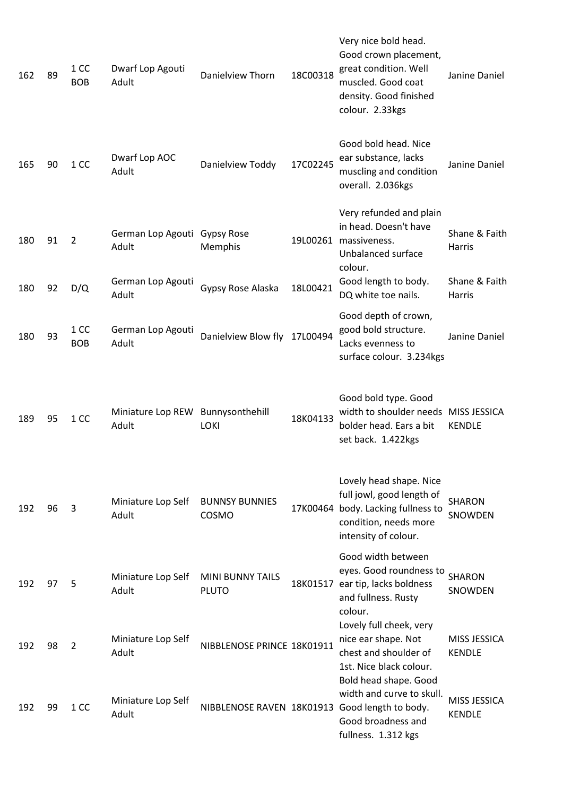| 162 | 89 | 1 <sub>CC</sub><br><b>BOB</b> | Dwarf Lop Agouti<br>Adult                  | Danielview Thorn                        | 18C00318 | Very nice bold head.<br>Good crown placement,<br>great condition. Well<br>muscled. Good coat<br>density. Good finished<br>colour. 2.33kgs         | Janine Daniel                        |
|-----|----|-------------------------------|--------------------------------------------|-----------------------------------------|----------|---------------------------------------------------------------------------------------------------------------------------------------------------|--------------------------------------|
| 165 | 90 | 1 CC                          | Dwarf Lop AOC<br>Adult                     | Danielview Toddy                        | 17C02245 | Good bold head. Nice<br>ear substance, lacks<br>muscling and condition<br>overall. 2.036kgs                                                       | Janine Daniel                        |
| 180 | 91 | $\overline{2}$                | German Lop Agouti Gypsy Rose<br>Adult      | Memphis                                 |          | Very refunded and plain<br>in head. Doesn't have<br>19L00261 massiveness.<br>Unbalanced surface<br>colour.                                        | Shane & Faith<br><b>Harris</b>       |
| 180 | 92 | D/Q                           | German Lop Agouti<br>Adult                 | Gypsy Rose Alaska                       | 18L00421 | Good length to body.<br>DQ white toe nails.                                                                                                       | Shane & Faith<br><b>Harris</b>       |
| 180 | 93 | 1 CC<br><b>BOB</b>            | German Lop Agouti<br>Adult                 | Danielview Blow fly                     | 17L00494 | Good depth of crown,<br>good bold structure.<br>Lacks evenness to<br>surface colour. 3.234kgs                                                     | Janine Daniel                        |
| 189 | 95 | 1 CC                          | Miniature Lop REW Bunnysonthehill<br>Adult | <b>LOKI</b>                             | 18K04133 | Good bold type. Good<br>width to shoulder needs MISS JESSICA<br>bolder head. Ears a bit<br>set back. 1.422kgs                                     | <b>KENDLE</b>                        |
| 192 | 96 | 3                             | Miniature Lop Self<br>Adult                | <b>BUNNSY BUNNIES</b><br>COSMO          |          | Lovely head shape. Nice<br>full jowl, good length of<br>17K00464 body. Lacking fullness to<br>condition, needs more<br>intensity of colour.       | <b>SHARON</b><br>SNOWDEN             |
| 192 | 97 | 5                             | Miniature Lop Self<br>Adult                | <b>MINI BUNNY TAILS</b><br><b>PLUTO</b> |          | Good width between<br>eyes. Good roundness to<br>18K01517 ear tip, lacks boldness<br>and fullness. Rusty<br>colour.                               | <b>SHARON</b><br>SNOWDEN             |
| 192 | 98 | $\overline{2}$                | Miniature Lop Self<br>Adult                | NIBBLENOSE PRINCE 18K01911              |          | Lovely full cheek, very<br>nice ear shape. Not<br>chest and shoulder of<br>1st. Nice black colour.                                                | <b>MISS JESSICA</b><br><b>KENDLE</b> |
| 192 | 99 | 1 <sub>CC</sub>               | Miniature Lop Self<br>Adult                |                                         |          | Bold head shape. Good<br>width and curve to skull.<br>NIBBLENOSE RAVEN 18K01913 Good length to body.<br>Good broadness and<br>fullness. 1.312 kgs | <b>MISS JESSICA</b><br><b>KENDLE</b> |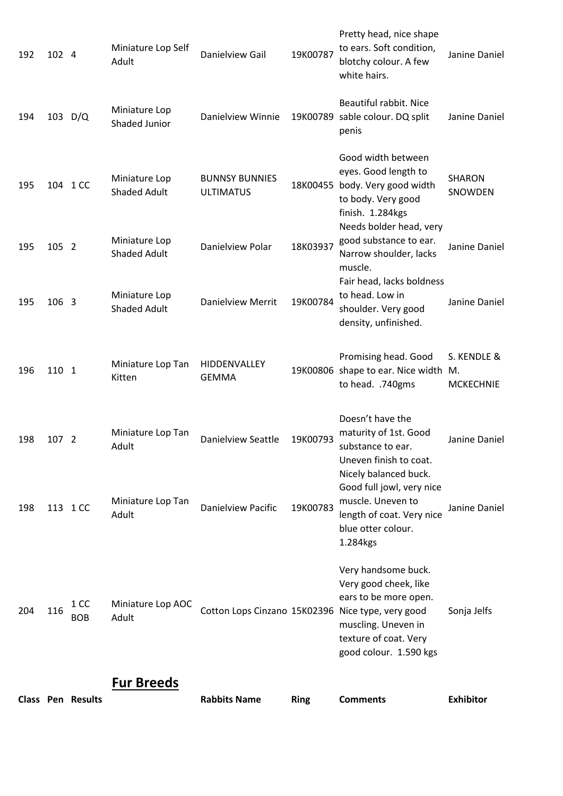|     |           | <b>Class Pen Results</b> | <b>Fur Breeds</b>                    | <b>Rabbits Name</b>                       | <b>Ring</b> | <b>Comments</b>                                                                                                                                                                                      | <b>Exhibitor</b>                |
|-----|-----------|--------------------------|--------------------------------------|-------------------------------------------|-------------|------------------------------------------------------------------------------------------------------------------------------------------------------------------------------------------------------|---------------------------------|
| 204 | 116       | 1 CC<br><b>BOB</b>       | Miniature Lop AOC<br>Adult           |                                           |             | Very handsome buck.<br>Very good cheek, like<br>ears to be more open.<br>Cotton Lops Cinzano 15K02396 Nice type, very good<br>muscling. Uneven in<br>texture of coat. Very<br>good colour. 1.590 kgs | Sonja Jelfs                     |
| 198 |           | 113 1 CC                 | Miniature Lop Tan<br>Adult           | Danielview Pacific                        | 19K00783    | Nicely balanced buck.<br>Good full jowl, very nice<br>muscle. Uneven to<br>length of coat. Very nice<br>blue otter colour.<br>1.284kgs                                                               | Janine Daniel                   |
| 198 | 107 2     |                          | Miniature Lop Tan<br>Adult           | <b>Danielview Seattle</b>                 | 19K00793    | Doesn't have the<br>maturity of 1st. Good<br>substance to ear.<br>Uneven finish to coat.                                                                                                             | Janine Daniel                   |
| 196 | 110 1     |                          | Miniature Lop Tan<br>Kitten          | HIDDENVALLEY<br><b>GEMMA</b>              |             | Promising head. Good<br>19K00806 shape to ear. Nice width M.<br>to head. .740gms                                                                                                                     | S. KENDLE &<br><b>MCKECHNIE</b> |
| 195 | 106 3     |                          | Miniature Lop<br><b>Shaded Adult</b> | <b>Danielview Merrit</b>                  | 19K00784    | Fair head, lacks boldness<br>to head. Low in<br>shoulder. Very good<br>density, unfinished.                                                                                                          | Janine Daniel                   |
| 195 | 105 2     |                          | Miniature Lop<br><b>Shaded Adult</b> | Danielview Polar                          | 18K03937    | finish. 1.284kgs<br>Needs bolder head, very<br>good substance to ear.<br>Narrow shoulder, lacks<br>muscle.                                                                                           | Janine Daniel                   |
| 195 |           | 104 1 CC                 | Miniature Lop<br><b>Shaded Adult</b> | <b>BUNNSY BUNNIES</b><br><b>ULTIMATUS</b> |             | Good width between<br>eyes. Good length to<br>18K00455 body. Very good width<br>to body. Very good                                                                                                   | <b>SHARON</b><br>SNOWDEN        |
| 194 | 103 $D/Q$ |                          | Miniature Lop<br>Shaded Junior       | Danielview Winnie                         |             | Beautiful rabbit. Nice<br>19K00789 sable colour. DQ split<br>penis                                                                                                                                   | Janine Daniel                   |
| 192 | 102 4     |                          | Miniature Lop Self<br>Adult          | Danielview Gail                           | 19K00787    | Pretty head, nice shape<br>to ears. Soft condition,<br>blotchy colour. A few<br>white hairs.                                                                                                         | Janine Daniel                   |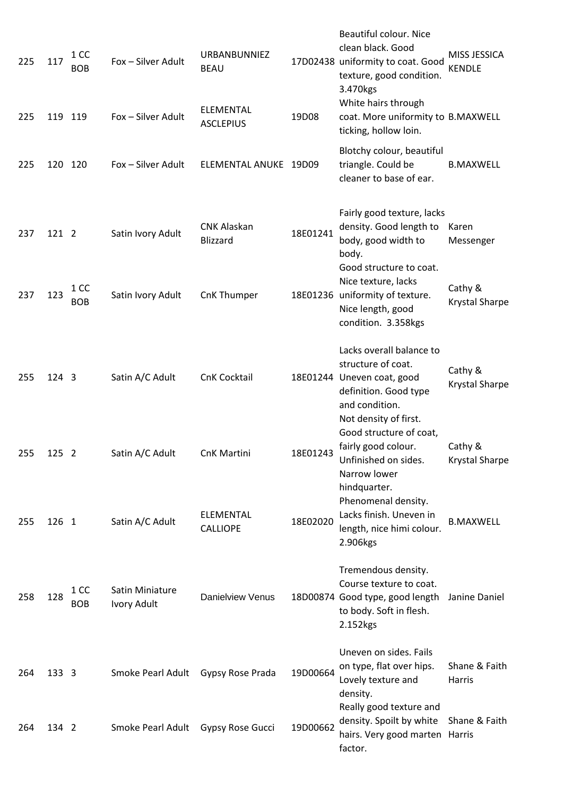| 225  | 117           | 1 CC<br><b>BOB</b> | Fox - Silver Adult             | URBANBUNNIEZ<br><b>BEAU</b>           |          | Beautiful colour. Nice<br>clean black. Good<br>17D02438 uniformity to coat. Good<br>texture, good condition.<br>3.470kgs<br>White hairs through  | MISS JESSICA<br><b>KENDLE</b>    |
|------|---------------|--------------------|--------------------------------|---------------------------------------|----------|--------------------------------------------------------------------------------------------------------------------------------------------------|----------------------------------|
| 225  | 119           | 119                | Fox - Silver Adult             | <b>ELEMENTAL</b><br><b>ASCLEPIUS</b>  | 19D08    | coat. More uniformity to B.MAXWELL<br>ticking, hollow loin.                                                                                      |                                  |
| 225  | 120           | 120                | Fox - Silver Adult             | ELEMENTAL ANUKE 19D09                 |          | Blotchy colour, beautiful<br>triangle. Could be<br>cleaner to base of ear.                                                                       | <b>B.MAXWELL</b>                 |
| 237  | 121 2         |                    | Satin Ivory Adult              | <b>CNK Alaskan</b><br><b>Blizzard</b> | 18E01241 | Fairly good texture, lacks<br>density. Good length to<br>body, good width to<br>body.                                                            | Karen<br>Messenger               |
| 237  | 123           | 1 CC<br><b>BOB</b> | Satin Ivory Adult              | CnK Thumper                           |          | Good structure to coat.<br>Nice texture, lacks<br>18E01236 uniformity of texture.<br>Nice length, good<br>condition. 3.358kgs                    | Cathy &<br>Krystal Sharpe        |
| 255  | 124 3         |                    | Satin A/C Adult                | <b>CnK Cocktail</b>                   |          | Lacks overall balance to<br>structure of coat.<br>18E01244 Uneven coat, good<br>definition. Good type<br>and condition.<br>Not density of first. | Cathy &<br><b>Krystal Sharpe</b> |
| 255. | $125 \quad 2$ |                    | Satin A/C Adult                | CnK Martini                           | 18F01243 | Good structure of coat,<br>fairly good colour.<br>Unfinished on sides.<br>Narrow lower<br>hindquarter.                                           | Cathy &<br><b>Krystal Sharpe</b> |
| 255  | 126 1         |                    | Satin A/C Adult                | ELEMENTAL<br><b>CALLIOPE</b>          | 18E02020 | Phenomenal density.<br>Lacks finish. Uneven in<br>length, nice himi colour.<br>2.906kgs                                                          | <b>B.MAXWELL</b>                 |
| 258  | 128           | 1 CC<br><b>BOB</b> | Satin Miniature<br>Ivory Adult | <b>Danielview Venus</b>               |          | Tremendous density.<br>Course texture to coat.<br>18D00874 Good type, good length<br>to body. Soft in flesh.<br>2.152kgs                         | Janine Daniel                    |
| 264  | 133 3         |                    | Smoke Pearl Adult              | Gypsy Rose Prada                      | 19D00664 | Uneven on sides. Fails<br>on type, flat over hips.<br>Lovely texture and<br>density.                                                             | Shane & Faith<br>Harris          |
| 264  | 134 2         |                    | Smoke Pearl Adult              | Gypsy Rose Gucci                      | 19D00662 | Really good texture and<br>density. Spoilt by white<br>hairs. Very good marten Harris<br>factor.                                                 | Shane & Faith                    |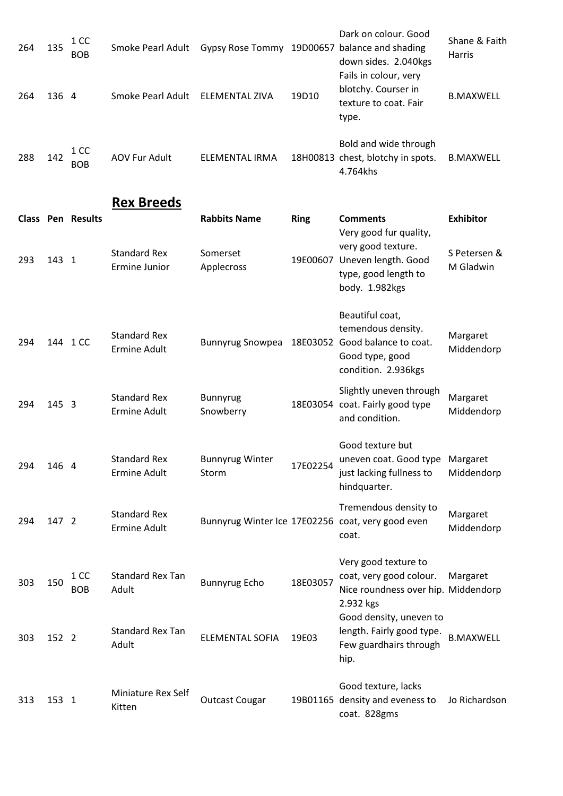| 264 | 135   | 1 CC<br><b>BOB</b> | Smoke Pearl Adult    | <b>Gypsy Rose Tommy</b> |       | Dark on colour. Good<br>19D00657 balance and shading<br>down sides. 2.040kgs   | Shane & Faith<br><b>Harris</b> |
|-----|-------|--------------------|----------------------|-------------------------|-------|--------------------------------------------------------------------------------|--------------------------------|
| 264 | 136 4 |                    | Smoke Pearl Adult    | ELEMENTAL ZIVA          | 19D10 | Fails in colour, very<br>blotchy. Courser in<br>texture to coat. Fair<br>type. | <b>B.MAXWELL</b>               |
| 288 | 142   | 1 CC<br><b>BOB</b> | <b>AOV Fur Adult</b> | ELEMENTAL IRMA          |       | Bold and wide through<br>18H00813 chest, blotchy in spots.<br>4.764khs         | <b>B.MAXWELL</b>               |

## **Rex Breeds**

|     |          | <b>Class Pen Results</b> | <b>Standard Rex</b>                        | <b>Rabbits Name</b><br>Somerset | <b>Ring</b> | <b>Comments</b><br>Very good fur quality,<br>very good texture.                                          | <b>Exhibitor</b><br>S Petersen & |
|-----|----------|--------------------------|--------------------------------------------|---------------------------------|-------------|----------------------------------------------------------------------------------------------------------|----------------------------------|
| 293 | 143 1    |                          | Ermine Junior                              | Applecross                      | 19E00607    | Uneven length. Good<br>type, good length to<br>body. 1.982kgs                                            | M Gladwin                        |
| 294 | 144 1 CC |                          | <b>Standard Rex</b><br><b>Ermine Adult</b> | <b>Bunnyrug Snowpea</b>         | 18E03052    | Beautiful coat,<br>temendous density.<br>Good balance to coat.<br>Good type, good<br>condition. 2.936kgs | Margaret<br>Middendorp           |
| 294 | 145 3    |                          | <b>Standard Rex</b><br><b>Ermine Adult</b> | <b>Bunnyrug</b><br>Snowberry    |             | Slightly uneven through<br>18E03054 coat. Fairly good type<br>and condition.                             | Margaret<br>Middendorp           |
| 294 | 146 4    |                          | <b>Standard Rex</b><br><b>Ermine Adult</b> | <b>Bunnyrug Winter</b><br>Storm | 17E02254    | Good texture but<br>uneven coat. Good type<br>just lacking fullness to<br>hindquarter.                   | Margaret<br>Middendorp           |
| 294 | 147 2    |                          | <b>Standard Rex</b><br><b>Ermine Adult</b> |                                 |             | Tremendous density to<br>Bunnyrug Winter Ice 17E02256 coat, very good even<br>coat.                      | Margaret<br>Middendorp           |
| 303 | 150      | 1 CC<br><b>BOB</b>       | <b>Standard Rex Tan</b><br>Adult           | <b>Bunnyrug Echo</b>            | 18E03057    | Very good texture to<br>coat, very good colour.<br>Nice roundness over hip. Middendorp<br>2.932 kgs      | Margaret                         |
| 303 | 152 2    |                          | <b>Standard Rex Tan</b><br>Adult           | <b>ELEMENTAL SOFIA</b>          | 19E03       | Good density, uneven to<br>length. Fairly good type.<br>Few guardhairs through<br>hip.                   | B.MAXWELL                        |
| 313 | 153 1    |                          | Miniature Rex Self<br>Kitten               | <b>Outcast Cougar</b>           |             | Good texture, lacks<br>19B01165 density and eveness to<br>coat. 828gms                                   | Jo Richardson                    |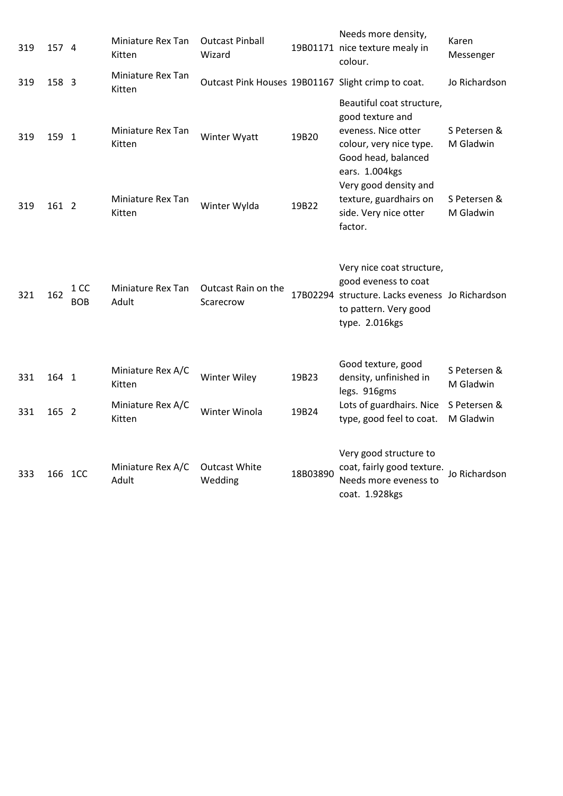| 319 | 157 4   |                    | Miniature Rex Tan<br>Kitten | <b>Outcast Pinball</b><br>Wizard                   |          | Needs more density,<br>19B01171 nice texture mealy in<br>colour.                                                                                | Karen<br>Messenger        |
|-----|---------|--------------------|-----------------------------|----------------------------------------------------|----------|-------------------------------------------------------------------------------------------------------------------------------------------------|---------------------------|
| 319 | 158 3   |                    | Miniature Rex Tan<br>Kitten | Outcast Pink Houses 19B01167 Slight crimp to coat. |          |                                                                                                                                                 | Jo Richardson             |
| 319 | 159 1   |                    | Miniature Rex Tan<br>Kitten | Winter Wyatt                                       | 19B20    | Beautiful coat structure,<br>good texture and<br>eveness. Nice otter<br>colour, very nice type.<br>Good head, balanced<br>ears. 1.004kgs        | S Petersen &<br>M Gladwin |
| 319 | 161 2   |                    | Miniature Rex Tan<br>Kitten | Winter Wylda                                       | 19B22    | Very good density and<br>texture, guardhairs on<br>side. Very nice otter<br>factor.                                                             | S Petersen &<br>M Gladwin |
| 321 | 162     | 1 CC<br><b>BOB</b> | Miniature Rex Tan<br>Adult  | Outcast Rain on the<br>Scarecrow                   |          | Very nice coat structure,<br>good eveness to coat<br>17B02294 structure. Lacks eveness Jo Richardson<br>to pattern. Very good<br>type. 2.016kgs |                           |
| 331 | 164 1   |                    | Miniature Rex A/C<br>Kitten | <b>Winter Wiley</b>                                | 19B23    | Good texture, good<br>density, unfinished in<br>legs. 916gms                                                                                    | S Petersen &<br>M Gladwin |
| 331 | 165 2   |                    | Miniature Rex A/C<br>Kitten | Winter Winola                                      | 19B24    | Lots of guardhairs. Nice<br>type, good feel to coat.                                                                                            | S Petersen &<br>M Gladwin |
| 333 | 166 1CC |                    | Miniature Rex A/C<br>Adult  | <b>Outcast White</b><br>Wedding                    | 18B03890 | Very good structure to<br>coat, fairly good texture.<br>Needs more eveness to<br>coat. 1.928kgs                                                 | Jo Richardson             |